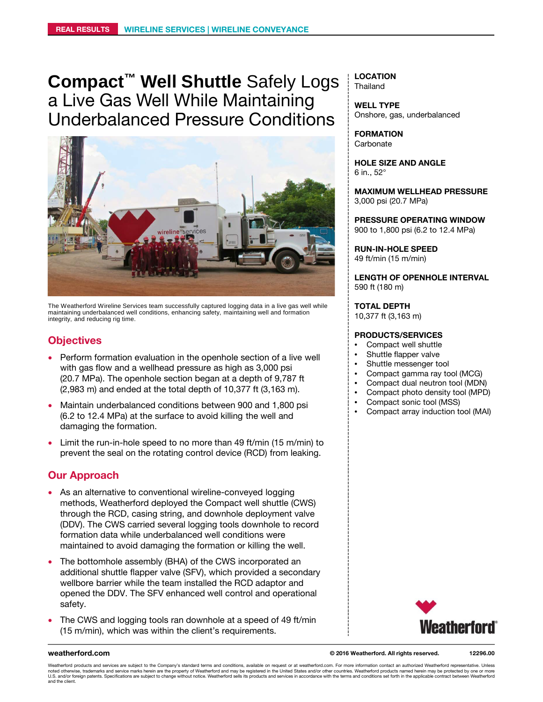**Compact™ Well Shuttle** Safely Logs a Live Gas Well While Maintaining Underbalanced Pressure Conditions



The Weatherford Wireline Services team successfully captured logging data in a live gas well while maintaining underbalanced well conditions, enhancing safety, maintaining well and formation integrity, and reducing rig time.

# **Objectives**

- Perform formation evaluation in the openhole section of a live well with gas flow and a wellhead pressure as high as 3,000 psi (20.7 MPa). The openhole section began at a depth of 9,787 ft (2,983 m) and ended at the total depth of 10,377 ft (3,163 m).
- Maintain underbalanced conditions between 900 and 1,800 psi (6.2 to 12.4 MPa) at the surface to avoid killing the well and damaging the formation.
- Limit the run-in-hole speed to no more than 49 ft/min (15 m/min) to prevent the seal on the rotating control device (RCD) from leaking.

# **Our Approach**

- As an alternative to conventional wireline-conveyed logging methods, Weatherford deployed the Compact well shuttle (CWS) through the RCD, casing string, and downhole deployment valve (DDV). The CWS carried several logging tools downhole to record formation data while underbalanced well conditions were maintained to avoid damaging the formation or killing the well.
- The bottomhole assembly (BHA) of the CWS incorporated an additional shuttle flapper valve (SFV), which provided a secondary wellbore barrier while the team installed the RCD adaptor and opened the DDV. The SFV enhanced well control and operational safety.
- The CWS and logging tools ran downhole at a speed of 49 ft/min (15 m/min), which was within the client's requirements.

**LOCATION Thailand** 

**WELL TYPE** Onshore, gas, underbalanced

**FORMATION Carbonate** 

**HOLE SIZE AND ANGLE** 6 in., 52°

**MAXIMUM WELLHEAD PRESSURE** 3,000 psi (20.7 MPa)

**PRESSURE OPERATING WINDOW** 900 to 1,800 psi (6.2 to 12.4 MPa)

**RUN-IN-HOLE SPEED** 49 ft/min (15 m/min)

**LENGTH OF OPENHOLE INTERVAL** 590 ft (180 m)

**TOTAL DEPTH**

10,377 ft (3,163 m)

### **PRODUCTS/SERVICES**

- Compact well shuttle
- Shuttle flapper valve
- Shuttle messenger tool
- Compact gamma ray tool (MCG)
- Compact dual neutron tool (MDN)
- Compact photo density tool (MPD)
- Compact sonic tool (MSS)
- Compact array induction tool (MAI)



**weatherford.com © 2016 Weatherford. All rights reserved.**

**12296.00**

Weatherford products and services are subject to the Company's standard terms and conditions, available on request or at weatherford.com. For more information contact an authorized Weatherford representative. Unless noted otherwise, trademarks and service marks herein are the property of Weatherford and may be registered in the United States and/or other countries. Weatherford products named herein may be protected by one or more<br>U.S. and the client.